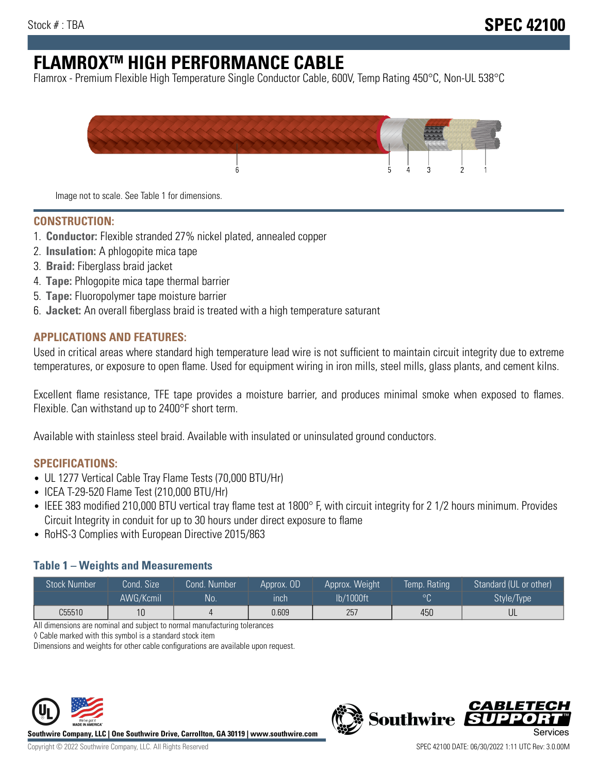# **FLAMROXTM HIGH PERFORMANCE CABLE**

Flamrox - Premium Flexible High Temperature Single Conductor Cable, 600V, Temp Rating 450°C, Non-UL 538°C



Image not to scale. See Table 1 for dimensions.

#### **CONSTRUCTION:**

- 1. **Conductor:** Flexible stranded 27% nickel plated, annealed copper
- 2. **Insulation:** A phlogopite mica tape
- 3. **Braid:** Fiberglass braid jacket
- 4. **Tape:** Phlogopite mica tape thermal barrier
- 5. **Tape:** Fluoropolymer tape moisture barrier
- 6. **Jacket:** An overall fiberglass braid is treated with a high temperature saturant

#### **APPLICATIONS AND FEATURES:**

Used in critical areas where standard high temperature lead wire is not sufficient to maintain circuit integrity due to extreme temperatures, or exposure to open flame. Used for equipment wiring in iron mills, steel mills, glass plants, and cement kilns.

Excellent flame resistance, TFE tape provides a moisture barrier, and produces minimal smoke when exposed to flames. Flexible. Can withstand up to 2400°F short term.

Available with stainless steel braid. Available with insulated or uninsulated ground conductors.

#### **SPECIFICATIONS:**

- UL 1277 Vertical Cable Tray Flame Tests (70,000 BTU/Hr)
- ICEA T-29-520 Flame Test (210,000 BTU/Hr)
- IEEE 383 modified 210,000 BTU vertical tray flame test at 1800° F, with circuit integrity for 2 1/2 hours minimum. Provides Circuit Integrity in conduit for up to 30 hours under direct exposure to flame
- RoHS-3 Complies with European Directive 2015/863

#### **Table 1 – Weights and Measurements**

| <b>Stock Number</b> | Cond. Size | Cond. Number | Approx. OD | Approx. Weight | Temp. Rating | Standard (UL or other)  |
|---------------------|------------|--------------|------------|----------------|--------------|-------------------------|
|                     | AWG/Kcmil  | <b>No</b>    | inch       | lb/1000ft      | $\circ$      | Style/Type <sup>1</sup> |
| C55510              | 10         |              | 0.609      | 257            | 450          | UL                      |

All dimensions are nominal and subject to normal manufacturing tolerances

◊ Cable marked with this symbol is a standard stock item

Dimensions and weights for other cable configurations are available upon request.



**Southwire Company, LLC | One Southwire Drive, Carrollton, GA 30119 | www.southwire.com**